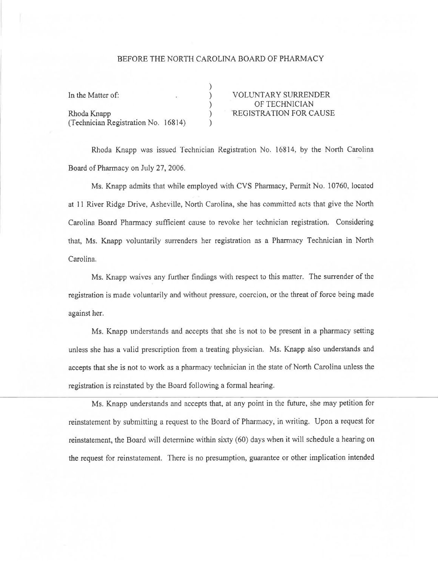## BEFORE THE NORTH CAROLINA BOARD OF PHARMACY

) ) ) ) )

Rhoda Knapp (CAUSE ) REGISTRATION FOR CAUSE (Technicien Registration No. 16814)

In the Matter of: VOLUNTARY SURRENDER OF TECHNICIAN

Rhoda Knapp was issued Technician Registration No. 16814, by the North Carolina Board of Pharmacy on July 27, 2006.

Ms. Knapp admits that while employed with CVS Pharmacy, Permit No. 10760, located at 11 River Ridge Drive, Asheville, North Carolina, she has committed acts that give the North Carolina Board Pharmacy sufficient cause to revoke her technician registration. Considering that, Ms. Knapp voluntarily surrenders her registration as a Pharmacy Technician in North Carolina.

Ms. Knapp waivcs any further findings with respect to this matter. The surrender of the registration is made voluntarily and without pressure, coercion, or the threat of force being made against her.

Ms. Knapp understands and accepts that she is not to be present in a pharmacy setting unless she has a valid prescription from a treating physician. Ms. Knapp also understands and accepts that she is not to work as a pharmacy technician in the state of North Carolina unless the registration is reinstated by the Board following a formal hearing.

Ms. Knapp understands and accepts that, at any point in the future, she may petition for reinstatement by submitting a request to the Board of Pharmacy, in writing. Upon a request for reinstatement, the Board will determine within sixty (60) days when it will schedule a hearing on the request for reinstatement. There is no presumption, guarantee or other implication intended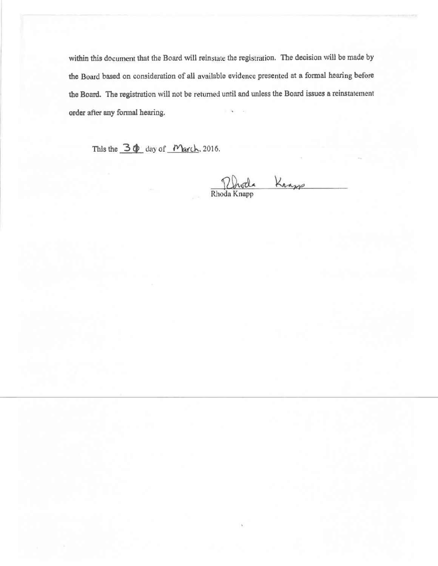within this document that the Board will reinstate the registration. The decision will be made by the Board based on consideration of all available evidence presented at a formal hearing before the Board. The registration will not be returned until and unless the Board issues a reinstatement order after any formal hearing.

This the 30 day of March, 2016.

Rhoda Knapp